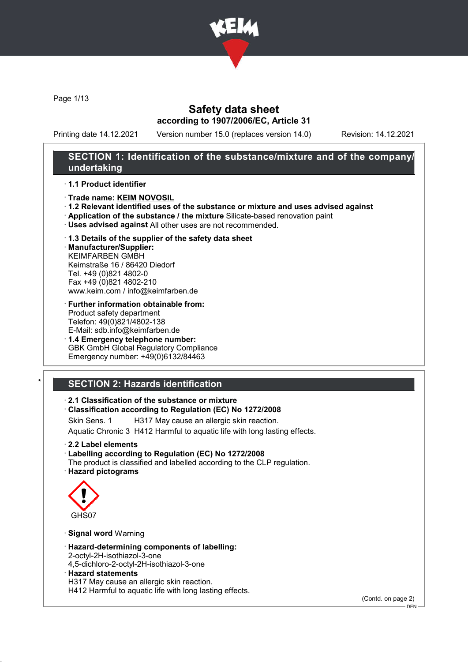

Page 1/13

# Safety data sheet according to 1907/2006/EC, Article 31

Printing date 14.12.2021 Version number 15.0 (replaces version 14.0) Revision: 14.12.2021

## SECTION 1: Identification of the substance/mixture and of the company/ undertaking

### · 1.1 Product identifier

- · Trade name: KEIM NOVOSIL
- · 1.2 Relevant identified uses of the substance or mixture and uses advised against
- · Application of the substance / the mixture Silicate-based renovation paint
- · Uses advised against All other uses are not recommended.

#### · 1.3 Details of the supplier of the safety data sheet · Manufacturer/Supplier:

KEIMFARBEN GMBH Keimstraße 16 / 86420 Diedorf Tel. +49 (0)821 4802-0 Fax +49 (0)821 4802-210 www.keim.com / info@keimfarben.de

- · Further information obtainable from: Product safety department Telefon: 49(0)821/4802-138 E-Mail: sdb.info@keimfarben.de
- · 1.4 Emergency telephone number: GBK GmbH Global Regulatory Compliance Emergency number: +49(0)6132/84463

# **SECTION 2: Hazards identification**

### · 2.1 Classification of the substance or mixture

### · Classification according to Regulation (EC) No 1272/2008

Skin Sens. 1 H317 May cause an allergic skin reaction.

Aquatic Chronic 3 H412 Harmful to aquatic life with long lasting effects.

- · 2.2 Label elements
- · Labelling according to Regulation (EC) No 1272/2008 The product is classified and labelled according to the CLP regulation.
- · Hazard pictograms



### · Signal word Warning

- · Hazard-determining components of labelling:
- 2-octyl-2H-isothiazol-3-one
- 4,5-dichloro-2-octyl-2H-isothiazol-3-one
- · Hazard statements
- H317 May cause an allergic skin reaction.

H412 Harmful to aquatic life with long lasting effects.

(Contd. on page 2)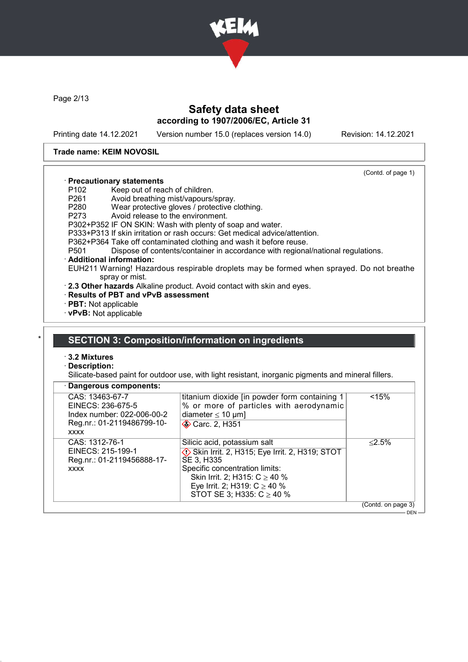

Page 2/13

# Safety data sheet according to 1907/2006/EC, Article 31

Printing date 14.12.2021 Version number 15.0 (replaces version 14.0) Revision: 14.12.2021

(Contd. of page 1)

#### Trade name: KEIM NOVOSIL

### · Precautionary statements

- P102 Keep out of reach of children.<br>P261 Avoid breathing mist/vapours/
- 
- P261 Avoid breathing mist/vapours/spray.<br>P280 Wear protective gloves / protective of Wear protective gloves / protective clothing.
- P273 Avoid release to the environment.
- P302+P352 IF ON SKIN: Wash with plenty of soap and water.
- P333+P313 If skin irritation or rash occurs: Get medical advice/attention.
- P362+P364 Take off contaminated clothing and wash it before reuse.<br>P501 Dispose of contents/container in accordance with regiona
- Dispose of contents/container in accordance with regional/national regulations.

#### · Additional information:

EUH211 Warning! Hazardous respirable droplets may be formed when sprayed. Do not breathe spray or mist.

- · 2.3 Other hazards Alkaline product. Avoid contact with skin and eyes.
- · Results of PBT and vPvB assessment
- · PBT: Not applicable
- · vPvB: Not applicable

### SECTION 3: Composition/information on ingredients

### · 3.2 Mixtures

#### Description:

 $\sqrt{2}$ 

Silicate-based paint for outdoor use, with light resistant, inorganic pigments and mineral fillers.

|  |  |  | · Dangerous components: |
|--|--|--|-------------------------|
|--|--|--|-------------------------|

| CAS: 13463-67-7<br>EINECS: 236-675-5<br>Index number: 022-006-00-2<br>Reg.nr.: 01-2119486799-10-<br><b>XXXX</b> | titanium dioxide [in powder form containing 1<br>% or more of particles with aerodynamic<br>diameter $\leq 10$ µm]<br>Carc. 2, H351                                                                                                                | < 15%              |
|-----------------------------------------------------------------------------------------------------------------|----------------------------------------------------------------------------------------------------------------------------------------------------------------------------------------------------------------------------------------------------|--------------------|
| CAS: 1312-76-1<br>EINECS: 215-199-1<br>Reg.nr.: 01-2119456888-17-<br><b>XXXX</b>                                | Silicic acid, potassium salt<br>$\Diamond$ Skin Irrit. 2, H315; Eye Irrit. 2, H319; STOT<br>SE 3, H335<br>Specific concentration limits:<br>Skin Irrit. 2; H315: $C \ge 40$ %<br>Eye Irrit. 2; H319: $C \ge 40$ %<br>STOT SE 3; H335: $C \ge 40$ % | $< 2.5\%$          |
|                                                                                                                 |                                                                                                                                                                                                                                                    | (Contd. on page 3) |
|                                                                                                                 |                                                                                                                                                                                                                                                    | $DEN -$            |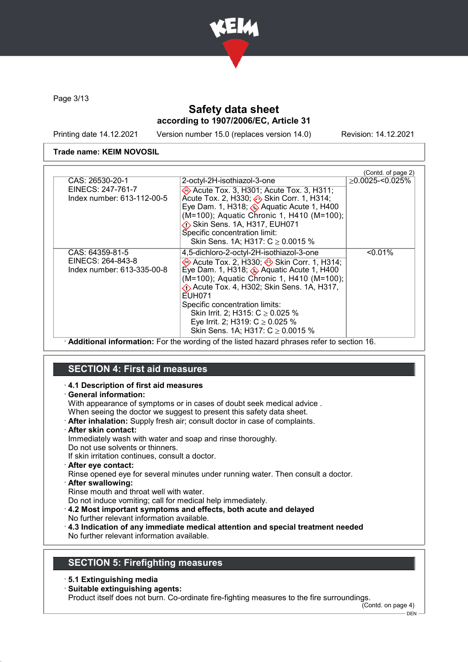

Page 3/13

# Safety data sheet according to 1907/2006/EC, Article 31

Printing date 14.12.2021 Version number 15.0 (replaces version 14.0) Revision: 14.12.2021

### Trade name: KEIM NOVOSIL

|                            |                                                                        | (Contd. of page 2)  |
|----------------------------|------------------------------------------------------------------------|---------------------|
| CAS: 26530-20-1            | 2-octyl-2H-isothiazol-3-one                                            | $>0.0025 - 0.025\%$ |
| EINECS: 247-761-7          | Acute Tox. 3, H301; Acute Tox. 3, H311;                                |                     |
| Index number: 613-112-00-5 | Acute Tox. 2, H330; Skin Corr. 1, H314;                                |                     |
|                            | Eye Dam. 1, H318; $\circledast$ Aquatic Acute 1, H400                  |                     |
|                            | (M=100); Aquatic Chronic 1, H410 (M=100);                              |                     |
|                            | Skin Sens. 1A, H317, EUH071                                            |                     |
|                            | Specific concentration limit:<br>Skin Sens. 1A; H317: $C \ge 0.0015$ % |                     |
|                            |                                                                        |                     |
| CAS: 64359-81-5            | 4,5-dichloro-2-octyl-2H-isothiazol-3-one                               | $< 0.01\%$          |
| EINECS: 264-843-8          | → Acute Tox. 2, H330; → Skin Corr. 1, H314;                            |                     |
| Index number: 613-335-00-8 | Eye Dam. 1, H318; $\otimes$ Aquatic Acute 1, H400                      |                     |
|                            | (M=100); Aquatic Chronic 1, H410 (M=100);                              |                     |
|                            | «↑ Acute Tox. 4, H302; Skin Sens. 1A, H317,<br>EUH071                  |                     |
|                            | Specific concentration limits:                                         |                     |
|                            | Skin Irrit. 2; H315: $C \ge 0.025$ %                                   |                     |
|                            | Eye Irrit. 2; H319: $C \ge 0.025$ %                                    |                     |
|                            | Skin Sens. 1A; H317: $C \ge 0.0015$ %                                  |                     |
|                            |                                                                        |                     |

· Additional information: For the wording of the listed hazard phrases refer to section 16.

# SECTION 4: First aid measures

#### · 4.1 Description of first aid measures

### · General information:

With appearance of symptoms or in cases of doubt seek medical advice .

When seeing the doctor we suggest to present this safety data sheet.

- · After inhalation: Supply fresh air; consult doctor in case of complaints.
- · After skin contact:

Immediately wash with water and soap and rinse thoroughly.

Do not use solvents or thinners.

If skin irritation continues, consult a doctor.

· After eye contact:

Rinse opened eye for several minutes under running water. Then consult a doctor. · After swallowing:

Rinse mouth and throat well with water.

Do not induce vomiting; call for medical help immediately.

- · 4.2 Most important symptoms and effects, both acute and delayed No further relevant information available.
- · 4.3 Indication of any immediate medical attention and special treatment needed No further relevant information available.

# SECTION 5: Firefighting measures

- · 5.1 Extinguishing media
- · Suitable extinguishing agents:

Product itself does not burn. Co-ordinate fire-fighting measures to the fire surroundings.

(Contd. on page 4)

DEN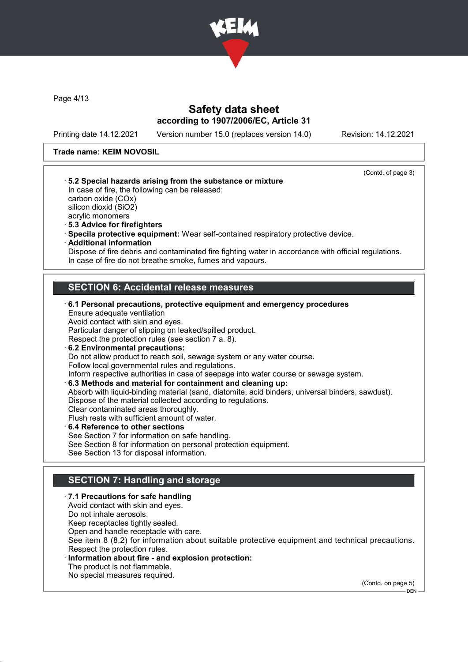

Page 4/13

### Safety data sheet according to 1907/2006/EC, Article 31

Printing date 14.12.2021 Version number 15.0 (replaces version 14.0) Revision: 14.12.2021

#### Trade name: KEIM NOVOSIL



Information about fire - and explosion protection: The product is not flammable. No special measures required.

(Contd. on page 5)

DEN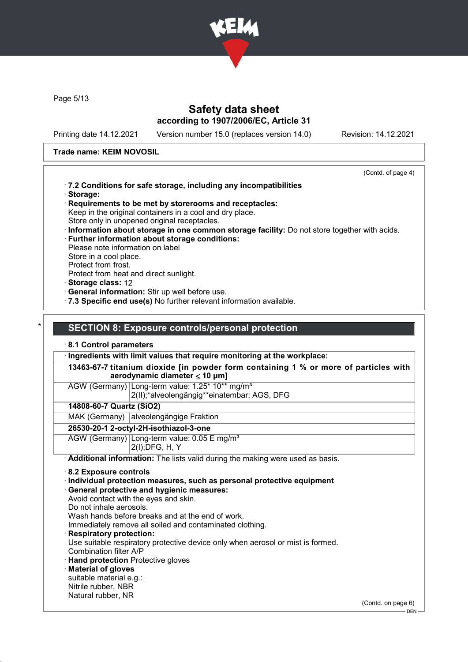

Page 5/13

# Safety data sheet according to 1907/2006/EC, Article 31

Printing date 14.12.2021 Version number 15.0 (replaces version 14.0) Revision: 14.12.2021

### Trade name: KEIM NOVOSIL

Natural rubber, NR

 $-$  DEN  $-$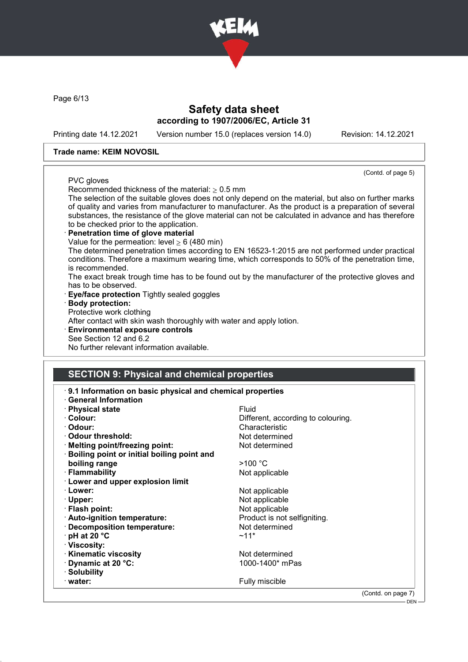

Page 6/13

### Safety data sheet according to 1907/2006/EC, Article 31

Printing date 14.12.2021 Version number 15.0 (replaces version 14.0) Revision: 14.12.2021

(Contd. of page 5)

#### Trade name: KEIM NOVOSIL

### PVC gloves

Recommended thickness of the material:  $> 0.5$  mm

The selection of the suitable gloves does not only depend on the material, but also on further marks of quality and varies from manufacturer to manufacturer. As the product is a preparation of several substances, the resistance of the glove material can not be calculated in advance and has therefore to be checked prior to the application.

Penetration time of glove material Value for the permeation: level  $\geq 6$  (480 min) The determined penetration times according to EN 16523-1:2015 are not performed under practical conditions. Therefore a maximum wearing time, which corresponds to 50% of the penetration time, is recommended.

The exact break trough time has to be found out by the manufacturer of the protective gloves and has to be observed.

- **Eye/face protection Tightly sealed goggles**
- · Body protection:

Protective work clothing

After contact with skin wash thoroughly with water and apply lotion.

· Environmental exposure controls See Section 12 and 6.2 No further relevant information available.

# SECTION 9: Physical and chemical properties

| 9.1 Information on basic physical and chemical properties<br><b>General Information</b> |                                    |                    |
|-----------------------------------------------------------------------------------------|------------------------------------|--------------------|
| · Physical state                                                                        | Fluid                              |                    |
| · Colour:                                                                               | Different, according to colouring. |                    |
| · Odour:                                                                                | Characteristic                     |                    |
| ⋅ Odour threshold:                                                                      | Not determined                     |                    |
| · Melting point/freezing point:                                                         | Not determined                     |                    |
| <b>Boiling point or initial boiling point and</b>                                       |                                    |                    |
| boiling range                                                                           | >100 °C                            |                    |
| · Flammability                                                                          | Not applicable                     |                    |
| · Lower and upper explosion limit                                                       |                                    |                    |
| · Lower:                                                                                | Not applicable                     |                    |
| · Upper:                                                                                | Not applicable                     |                    |
| · Flash point:                                                                          | Not applicable                     |                    |
| · Auto-ignition temperature:                                                            | Product is not selfigniting.       |                    |
| · Decomposition temperature:                                                            | Not determined                     |                    |
| $\cdot$ pH at 20 $\degree$ C                                                            | $~11*$                             |                    |
| · Viscosity:                                                                            |                                    |                    |
| <b>Kinematic viscosity</b>                                                              | Not determined                     |                    |
| Dynamic at 20 °C:                                                                       | 1000-1400* mPas                    |                    |
| · Solubility                                                                            |                                    |                    |
| $\cdot$ water:                                                                          | Fully miscible                     |                    |
|                                                                                         |                                    | (Contd. on page 7) |
|                                                                                         |                                    | <b>DEN</b>         |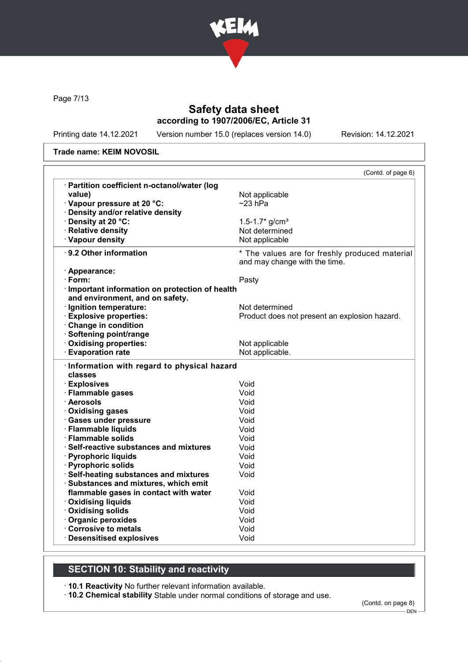

Page 7/13

# Safety data sheet according to 1907/2006/EC, Article 31

Printing date 14.12.2021 Version number 15.0 (replaces version 14.0) Revision: 14.12.2021

#### Trade name: KEIM NOVOSIL

|                                                               | (Contd. of page 6)                                                              |
|---------------------------------------------------------------|---------------------------------------------------------------------------------|
| · Partition coefficient n-octanol/water (log                  |                                                                                 |
| value)                                                        | Not applicable                                                                  |
| · Vapour pressure at 20 °C:                                   | $~23$ hPa                                                                       |
| Density and/or relative density                               |                                                                                 |
| · Density at 20 °C:                                           | 1.5-1.7* $g/cm^{3}$                                                             |
| · Relative density                                            | Not determined                                                                  |
| · Vapour density                                              | Not applicable                                                                  |
| · 9.2 Other information                                       | * The values are for freshly produced material<br>and may change with the time. |
| · Appearance:                                                 |                                                                                 |
| $\cdot$ Form:                                                 | Pasty                                                                           |
| · Important information on protection of health               |                                                                                 |
| and environment, and on safety.                               |                                                                                 |
| · Ignition temperature:                                       | Not determined                                                                  |
| <b>Explosive properties:</b>                                  | Product does not present an explosion hazard.                                   |
| Change in condition                                           |                                                                                 |
| · Softening point/range                                       |                                                                                 |
| Oxidising properties:                                         | Not applicable                                                                  |
| <b>Evaporation rate</b>                                       | Not applicable.                                                                 |
| · Information with regard to physical hazard<br>classes       |                                                                                 |
| · Explosives                                                  | Void                                                                            |
| · Flammable gases<br>· Aerosols                               | Void<br>Void                                                                    |
|                                                               |                                                                                 |
| · Oxidising gases                                             | Void                                                                            |
| · Gases under pressure                                        | Void                                                                            |
| · Flammable liquids<br>· Flammable solids                     | Void                                                                            |
|                                                               | Void<br>Void                                                                    |
| · Self-reactive substances and mixtures                       |                                                                                 |
| · Pyrophoric liquids                                          | Void<br>Void                                                                    |
| · Pyrophoric solids<br>· Self-heating substances and mixtures | Void                                                                            |
| · Substances and mixtures, which emit                         |                                                                                 |
| flammable gases in contact with water                         | Void                                                                            |
| · Oxidising liquids                                           | Void                                                                            |
| · Oxidising solids                                            | Void                                                                            |
| · Organic peroxides                                           | Void                                                                            |
| Corrosive to metals                                           | Void                                                                            |
| <b>Desensitised explosives</b>                                | Void                                                                            |
|                                                               |                                                                                 |

# SECTION 10: Stability and reactivity

· 10.1 Reactivity No further relevant information available.

· 10.2 Chemical stability Stable under normal conditions of storage and use.

(Contd. on page 8)

DEN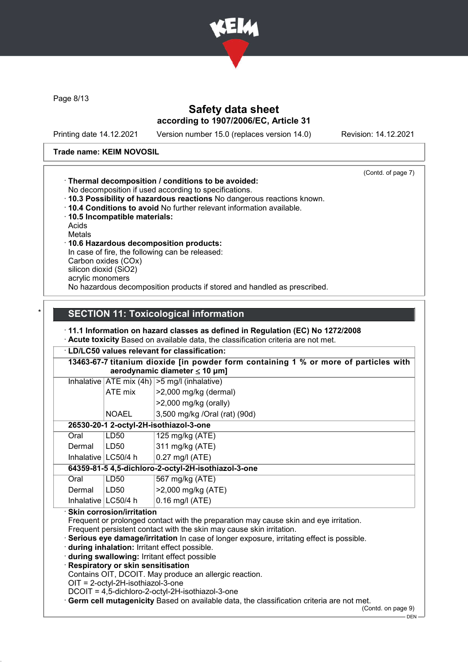

Page 8/13

# Safety data sheet according to 1907/2006/EC, Article 31

Printing date 14.12.2021 Version number 15.0 (replaces version 14.0) Revision: 14.12.2021

### Trade name: KEIM NOVOSIL

| . Thermal decomposition / conditions to be avoided:<br>No decomposition if used according to specifications.<br>. 10.3 Possibility of hazardous reactions No dangerous reactions known.<br>$\cdot$ 10.4 Conditions to avoid No further relevant information available.<br>10.5 Incompatible materials:<br>Acids<br><b>Metals</b><br>10.6 Hazardous decomposition products:<br>In case of fire, the following can be released:<br>Carbon oxides (COx)<br>silicon dioxid (SiO2)<br>acrylic monomers<br>No hazardous decomposition products if stored and handled as prescribed. | (Contd. of page 7) |
|-------------------------------------------------------------------------------------------------------------------------------------------------------------------------------------------------------------------------------------------------------------------------------------------------------------------------------------------------------------------------------------------------------------------------------------------------------------------------------------------------------------------------------------------------------------------------------|--------------------|
|                                                                                                                                                                                                                                                                                                                                                                                                                                                                                                                                                                               |                    |
|                                                                                                                                                                                                                                                                                                                                                                                                                                                                                                                                                                               |                    |

# **SECTION 11: Toxicological information**

#### · 11.1 Information on hazard classes as defined in Regulation (EC) No 1272/2008 · Acute toxicity Based on available data, the classification criteria are not met.

| 13463-67-7 titanium dioxide [in powder form containing 1 % or more of particles with<br>aerodynamic diameter $\leq 10 \mu m$ ]                                   |              |                                        |  |
|------------------------------------------------------------------------------------------------------------------------------------------------------------------|--------------|----------------------------------------|--|
| Inhalative $ ATE \text{ mix } (4h)  > 5 \text{ mg/l } (inhalative)$                                                                                              |              |                                        |  |
|                                                                                                                                                                  | ATE mix      | $>2,000$ mg/kg (dermal)                |  |
|                                                                                                                                                                  |              | $>2,000$ mg/kg (orally)                |  |
|                                                                                                                                                                  | <b>NOAEL</b> | 3,500 mg/kg /Oral (rat) (90d)          |  |
|                                                                                                                                                                  |              | 26530-20-1 2-octyl-2H-isothiazol-3-one |  |
| LD <sub>50</sub><br>125 mg/kg (ATE)<br>Oral                                                                                                                      |              |                                        |  |
| 311 mg/kg (ATE)<br>LD50<br>Dermal                                                                                                                                |              |                                        |  |
| Inhalative   LC50/4 h<br>$0.27$ mg/l (ATE)                                                                                                                       |              |                                        |  |
| 64359-81-5 4,5-dichloro-2-octyl-2H-isothiazol-3-one                                                                                                              |              |                                        |  |
| 567 mg/kg (ATE)<br>Oral<br>LD50                                                                                                                                  |              |                                        |  |
| >2,000 mg/kg (ATE)<br>Dermal<br>LD50                                                                                                                             |              |                                        |  |
| Inhalative   LC50/4 h<br>$0.16$ mg/l (ATE)                                                                                                                       |              |                                        |  |
| · Skin corrosion/irritation                                                                                                                                      |              |                                        |  |
| Frequent or prolonged contact with the preparation may cause skin and eye irritation.                                                                            |              |                                        |  |
| Frequent persistent contact with the skin may cause skin irritation.<br>Serious eye damage/irritation In case of longer exposure, irritating effect is possible. |              |                                        |  |

- · during inhalation: Irritant effect possible.
- · during swallowing: Irritant effect possible
- · Respiratory or skin sensitisation
- Contains OIT, DCOIT. May produce an allergic reaction.
- OIT = 2-octyl-2H-isothiazol-3-one
- DCOIT = 4,5-dichloro-2-octyl-2H-isothiazol-3-one
- · Germ cell mutagenicity Based on available data, the classification criteria are not met.

(Contd. on page 9)

 $-$  DEN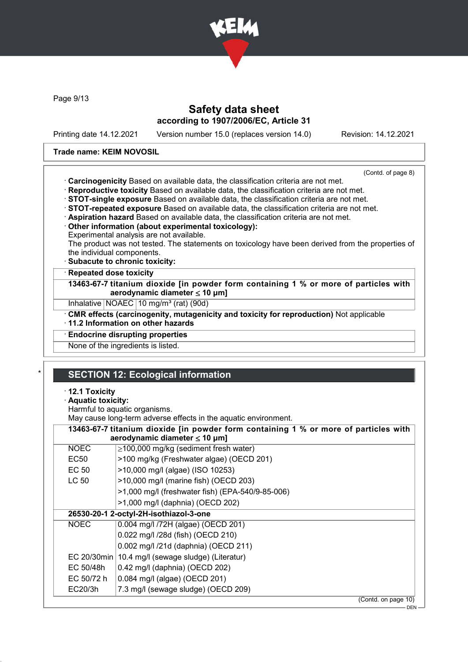

Page 9/13

### Safety data sheet according to 1907/2006/EC, Article 31

Printing date 14.12.2021 Version number 15.0 (replaces version 14.0) Revision: 14.12.2021

### Trade name: KEIM NOVOSIL

(Contd. of page 8)

- · Carcinogenicity Based on available data, the classification criteria are not met.
- · Reproductive toxicity Based on available data, the classification criteria are not met.
- · STOT-single exposure Based on available data, the classification criteria are not met.
- · STOT-repeated exposure Based on available data, the classification criteria are not met.
- · Aspiration hazard Based on available data, the classification criteria are not met.
- · Other information (about experimental toxicology):
- Experimental analysis are not available.

The product was not tested. The statements on toxicology have been derived from the properties of the individual components.

· Subacute to chronic toxicity:

### **Repeated dose toxicity**

13463-67-7 titanium dioxide [in powder form containing 1 % or more of particles with aerodynamic diameter  $\leq 10 \mu m$ ]

Inhalative NOAEC 10 mg/m<sup>3</sup> (rat) (90d)

· CMR effects (carcinogenity, mutagenicity and toxicity for reproduction) Not applicable

- · 11.2 Information on other hazards
- · Endocrine disrupting properties

None of the ingredients is listed.

# **SECTION 12: Ecological information**

- · 12.1 Toxicity
- · Aquatic toxicity:

Harmful to aquatic organisms.

May cause long-term adverse effects in the aquatic environment.

| 13463-67-7 titanium dioxide [in powder form containing 1 % or more of particles with |                                                  |  |  |
|--------------------------------------------------------------------------------------|--------------------------------------------------|--|--|
| aerodynamic diameter $\leq 10$ µm]                                                   |                                                  |  |  |
| <b>NOEC</b>                                                                          | $\geq$ 100,000 mg/kg (sediment fresh water)      |  |  |
| EC50                                                                                 | >100 mg/kg (Freshwater algae) (OECD 201)         |  |  |
| EC 50                                                                                | >10,000 mg/l (algae) (ISO 10253)                 |  |  |
| LC 50                                                                                | >10,000 mg/l (marine fish) (OECD 203)            |  |  |
|                                                                                      | >1,000 mg/l (freshwater fish) (EPA-540/9-85-006) |  |  |
|                                                                                      | >1,000 mg/l (daphnia) (OECD 202)                 |  |  |
|                                                                                      | 26530-20-1 2-octyl-2H-isothiazol-3-one           |  |  |
| <b>NOEC</b>                                                                          | 0.004 mg/l /72H (algae) (OECD 201)               |  |  |
|                                                                                      | 0.022 mg/l /28d (fish) (OECD 210)                |  |  |
|                                                                                      | 0.002 mg/l /21d (daphnia) (OECD 211)             |  |  |
| EC 20/30min   10.4 mg/l (sewage sludge) (Literatur)                                  |                                                  |  |  |
| EC 50/48h                                                                            | 0.42 mg/l (daphnia) (OECD 202)                   |  |  |
| EC 50/72 h                                                                           | 0.084 mg/l (algae) (OECD 201)                    |  |  |
| EC20/3h                                                                              | 7.3 mg/l (sewage sludge) (OECD 209)              |  |  |
|                                                                                      | (Contd. on page 10)                              |  |  |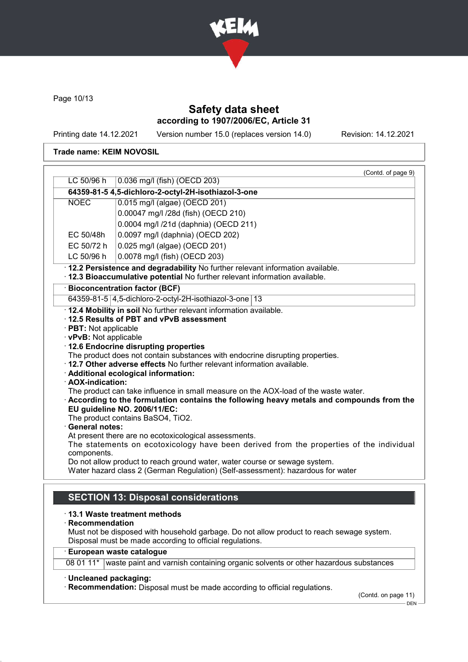

Page 10/13

# Safety data sheet according to 1907/2006/EC, Article 31

Printing date 14.12.2021 Version number 15.0 (replaces version 14.0) Revision: 14.12.2021

### Trade name: KEIM NOVOSIL

|                        | (Contd. of page 9)                                                                                                                                                                                             |  |
|------------------------|----------------------------------------------------------------------------------------------------------------------------------------------------------------------------------------------------------------|--|
| LC 50/96 h             | 0.036 mg/l (fish) (OECD 203)                                                                                                                                                                                   |  |
|                        | 64359-81-5 4,5-dichloro-2-octyl-2H-isothiazol-3-one                                                                                                                                                            |  |
| <b>NOEC</b>            | 0.015 mg/l (algae) (OECD 201)                                                                                                                                                                                  |  |
|                        | 0.00047 mg/l /28d (fish) (OECD 210)                                                                                                                                                                            |  |
|                        | 0.0004 mg/l /21d (daphnia) (OECD 211)                                                                                                                                                                          |  |
| EC 50/48h              | 0.0097 mg/l (daphnia) (OECD 202)                                                                                                                                                                               |  |
| EC 50/72 h             | 0.025 mg/l (algae) (OECD 201)                                                                                                                                                                                  |  |
| LC 50/96 h             | 0.0078 mg/l (fish) (OECD 203)                                                                                                                                                                                  |  |
|                        | · 12.2 Persistence and degradability No further relevant information available.<br>· 12.3 Bioaccumulative potential No further relevant information available.                                                 |  |
|                        | · Bioconcentration factor (BCF)                                                                                                                                                                                |  |
|                        | 64359-81-5   4,5-dichloro-2-octyl-2H-isothiazol-3-one   13                                                                                                                                                     |  |
|                        | . 12.4 Mobility in soil No further relevant information available.                                                                                                                                             |  |
|                        | 12.5 Results of PBT and vPvB assessment                                                                                                                                                                        |  |
| · PBT: Not applicable  |                                                                                                                                                                                                                |  |
| · vPvB: Not applicable |                                                                                                                                                                                                                |  |
|                        | 12.6 Endocrine disrupting properties<br>The product does not contain substances with endocrine disrupting properties.                                                                                          |  |
|                        | . 12.7 Other adverse effects No further relevant information available.                                                                                                                                        |  |
|                        | · Additional ecological information:                                                                                                                                                                           |  |
| · AOX-indication:      |                                                                                                                                                                                                                |  |
|                        | The product can take influence in small measure on the AOX-load of the waste water.<br>According to the formulation contains the following heavy metals and compounds from the<br>EU guideline NO. 2006/11/EC: |  |
| <b>General notes:</b>  | The product contains BaSO4, TiO2.                                                                                                                                                                              |  |
|                        | At present there are no ecotoxicological assessments.                                                                                                                                                          |  |
|                        | The statements on ecotoxicology have been derived from the properties of the individual                                                                                                                        |  |
| components.            |                                                                                                                                                                                                                |  |
|                        | Do not allow product to reach ground water, water course or sewage system.<br>Water hazard class 2 (German Regulation) (Self-assessment): hazardous for water                                                  |  |
|                        | <b>SECTION 13: Disposal considerations</b>                                                                                                                                                                     |  |
|                        | $\cdot$ 13.1 Waste treatment methods                                                                                                                                                                           |  |
| Recommendation         |                                                                                                                                                                                                                |  |
|                        | Must not be disposed with household garbage. Do not allow product to reach sewage system.<br>Disposal must be made according to official regulations.                                                          |  |
|                        | <b>European waste catalogue</b>                                                                                                                                                                                |  |
| 08 01 11*              | waste paint and varnish containing organic solvents or other hazardous substances                                                                                                                              |  |
|                        |                                                                                                                                                                                                                |  |
| · Uncleaned packaging: | Recommendation: Disposal must be made according to official regulations.<br>(Contd. on page 11)                                                                                                                |  |
|                        |                                                                                                                                                                                                                |  |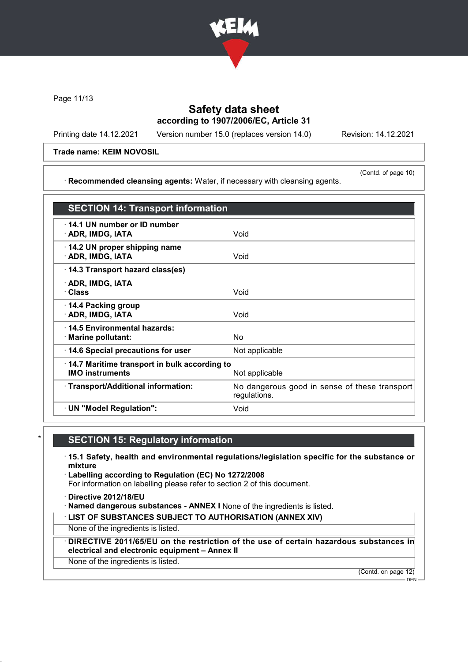

Page 11/13

# Safety data sheet according to 1907/2006/EC, Article 31

Printing date 14.12.2021 Version number 15.0 (replaces version 14.0) Revision: 14.12.2021

(Contd. of page 10)

Trade name: KEIM NOVOSIL

· Recommended cleansing agents: Water, if necessary with cleansing agents.

SECTION 14: Transport information · 14.1 UN number or ID number · ADR, IMDG, IATA Void · 14.2 UN proper shipping name **ADR, IMDG, IATA** Void · 14.3 Transport hazard class(es) · ADR, IMDG, IATA · Class Void · 14.4 Packing group · ADR, IMDG, IATA Void · 14.5 Environmental hazards: · Marine pollutant: No · 14.6 Special precautions for user Mot applicable · 14.7 Maritime transport in bulk according to IMO instruments Not applicable · Transport/Additional information: No dangerous good in sense of these transport regulations. · UN "Model Regulation": Void

# **SECTION 15: Regulatory information**

- · 15.1 Safety, health and environmental regulations/legislation specific for the substance or mixture
- · Labelling according to Regulation (EC) No 1272/2008 For information on labelling please refer to section 2 of this document.
- · Directive 2012/18/EU
- · Named dangerous substances ANNEX I None of the ingredients is listed.
- · LIST OF SUBSTANCES SUBJECT TO AUTHORISATION (ANNEX XIV)

None of the ingredients is listed.

· DIRECTIVE 2011/65/EU on the restriction of the use of certain hazardous substances in electrical and electronic equipment – Annex II

None of the ingredients is listed.

(Contd. on page 12)

 $-$  DEN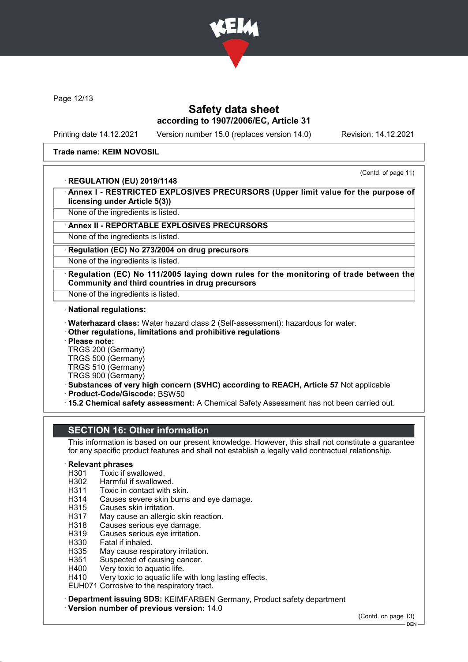

Page 12/13

### Safety data sheet according to 1907/2006/EC, Article 31

Printing date 14.12.2021 Version number 15.0 (replaces version 14.0) Revision: 14.12.2021

#### Trade name: KEIM NOVOSIL

### · REGULATION (EU) 2019/1148

(Contd. of page 11)

Annex I - RESTRICTED EXPLOSIVES PRECURSORS (Upper limit value for the purpose of licensing under Article 5(3))

None of the ingredients is listed.

### Annex II - REPORTABLE EXPLOSIVES PRECURSORS

None of the ingredients is listed.

Regulation (EC) No 273/2004 on drug precursors

None of the ingredients is listed.

Regulation (EC) No 111/2005 laying down rules for the monitoring of trade between the Community and third countries in drug precursors

None of the ingredients is listed.

· National regulations:

- · Waterhazard class: Water hazard class 2 (Self-assessment): hazardous for water.
- · Other regulations, limitations and prohibitive regulations
- · Please note:

TRGS 200 (Germany)

TRGS 500 (Germany)

TRGS 510 (Germany)

- TRGS 900 (Germany)
- · Substances of very high concern (SVHC) according to REACH, Article 57 Not applicable

· Product-Code/Giscode: BSW50

· 15.2 Chemical safety assessment: A Chemical Safety Assessment has not been carried out.

### SECTION 16: Other information

This information is based on our present knowledge. However, this shall not constitute a guarantee for any specific product features and shall not establish a legally valid contractual relationship.

# **Relevant phrases**<br>H301 Toxic if sy

- H301 Toxic if swallowed.<br>H302 Harmful if swallowe
- Harmful if swallowed.
- H311 Toxic in contact with skin.
- H314 Causes severe skin burns and eye damage.<br>H315 Causes skin irritation.
- Causes skin irritation.
- H317 May cause an allergic skin reaction.
- H318 Causes serious eye damage.
- H319 Causes serious eye irritation.
- H330 Fatal if inhaled.
- H335 May cause respiratory irritation.
- H351 Suspected of causing cancer.<br>H400 Very toxic to aquatic life.
- Very toxic to aquatic life.
- H410 Very toxic to aquatic life with long lasting effects.

EUH071 Corrosive to the respiratory tract.

· Department issuing SDS: KEIMFARBEN Germany, Product safety department

· Version number of previous version: 14.0

(Contd. on page 13)